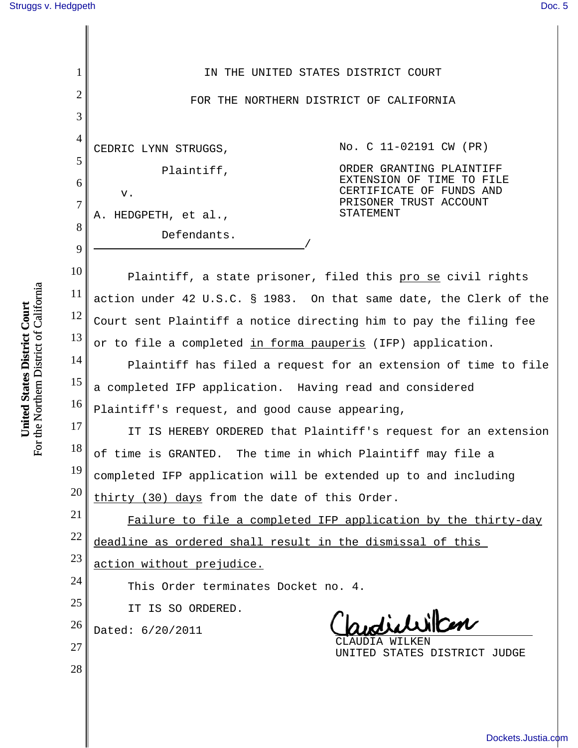| 1              | IN THE UNITED STATES DISTRICT COURT                                                                                           |
|----------------|-------------------------------------------------------------------------------------------------------------------------------|
| $\overline{2}$ | FOR THE NORTHERN DISTRICT OF CALIFORNIA                                                                                       |
| 3              |                                                                                                                               |
| $\overline{4}$ | No. C 11-02191 CW (PR)<br>CEDRIC LYNN STRUGGS,                                                                                |
| 5              | ORDER GRANTING PLAINTIFF<br>Plaintiff,                                                                                        |
| 6              | EXTENSION OF TIME TO FILE<br>CERTIFICATE OF FUNDS AND<br>v.                                                                   |
| 7              | PRISONER TRUST ACCOUNT<br>STATEMENT<br>A. HEDGPETH, et al.,                                                                   |
| 8              | Defendants.                                                                                                                   |
| 9<br>10        |                                                                                                                               |
| 11             | Plaintiff, a state prisoner, filed this pro se civil rights                                                                   |
| 12             | action under 42 U.S.C. § 1983. On that same date, the Clerk of the                                                            |
| 13             | Court sent Plaintiff a notice directing him to pay the filing fee                                                             |
| 14             | or to file a completed in forma pauperis (IFP) application.<br>Plaintiff has filed a request for an extension of time to file |
| 15             | a completed IFP application. Having read and considered                                                                       |
| 16             | Plaintiff's request, and good cause appearing,                                                                                |
| 17             | IT IS HEREBY ORDERED that Plaintiff's request for an extension                                                                |
| 18             | of time is GRANTED. The time in which Plaintiff may file a                                                                    |
| 19             | completed IFP application will be extended up to and including                                                                |
| 20             | thirty (30) days from the date of this Order.                                                                                 |
| 21             | Failure to file a completed IFP application by the thirty-day                                                                 |
| 22             | deadline as ordered shall result in the dismissal of this                                                                     |
| 23             | action without prejudice.                                                                                                     |
| 24             | This Order terminates Docket no. 4.                                                                                           |
| 25<br>26       | IT IS SO ORDERED.<br>udichillan                                                                                               |
| 27             | Dated: 6/20/2011<br>WILKEN                                                                                                    |
| 28             | UNITED STATES DISTRICT JUDGE                                                                                                  |
|                |                                                                                                                               |
|                |                                                                                                                               |

**United States District Court**<br>For the Northern District of California For the Northern District of California **United States District Court**